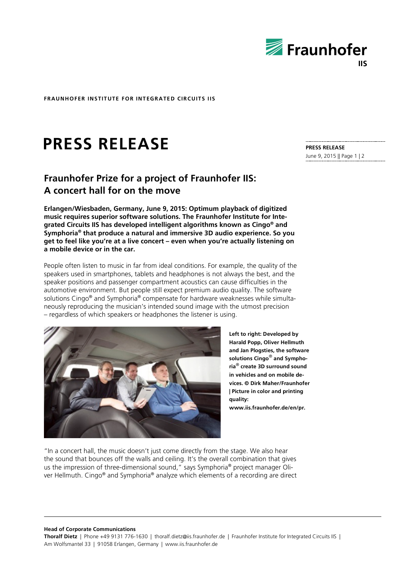

**FRAUNHOFER INSTITUTE FOR INTEGRATED CIRCUITS IIS**

## **PRESS RELEASE**

## **Fraunhofer Prize for a project of Fraunhofer IIS: A concert hall for on the move**

**Erlangen/Wiesbaden, Germany, June 9, 2015: Optimum playback of digitized music requires superior software solutions. The Fraunhofer Institute for Integrated Circuits IIS has developed intelligent algorithms known as Cingo® and Symphoria® that produce a natural and immersive 3D audio experience. So you get to feel like you're at a live concert – even when you're actually listening on a mobile device or in the car.**

People often listen to music in far from ideal conditions. For example, the quality of the speakers used in smartphones, tablets and headphones is not always the best, and the speaker positions and passenger compartment acoustics can cause difficulties in the automotive environment. But people still expect premium audio quality. The software solutions Cingo<sup>®</sup> and Symphoria<sup>®</sup> compensate for hardware weaknesses while simultaneously reproducing the musician's intended sound image with the utmost precision – regardless of which speakers or headphones the listener is using.



**Left to right: Developed by Harald Popp, Oliver Hellmuth and Jan Plogsties, the software solutions Cingo**® **and Symphoria**® **create 3D surround sound in vehicles and on mobile devices. © Dirk Maher/Fraunhofer | Picture in color and printing quality: www.iis.fraunhofer.de/en/pr.**

"In a concert hall, the music doesn't just come directly from the stage. We also hear the sound that bounces off the walls and ceiling. It's the overall combination that gives us the impression of three-dimensional sound," says Symphoria® project manager Oliver Hellmuth. Cingo® and Symphoria® analyze which elements of a recording are direct

**Head of Corporate Communications**

**Thoralf Dietz** | Phone +49 9131 776-1630 | thoralf.dietz@iis.fraunhofer.de | Fraunhofer Institute for Integrated Circuits IIS | Am Wolfsmantel 33 | 91058 Erlangen, Germany | www.iis.fraunhofer.de

**PRESS RELEASE** June 9, 2015 || Page 1 | 2